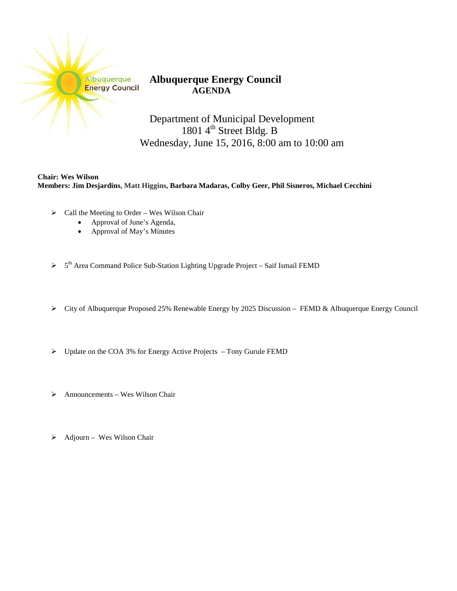| Albuquerque           |
|-----------------------|
| <b>Energy Council</b> |
|                       |

## **Albuquerque Energy Council AGENDA**

Department of Municipal Development 1801 4<sup>th</sup> Street Bldg. B Wednesday, June 15, 2016, 8:00 am to 10:00 am

**Chair: Wes Wilson Members: Jim Desjardins, Matt Higgins, Barbara Madaras, Colby Geer, Phil Sisneros, Michael Cecchini**

- $\triangleright$  Call the Meeting to Order Wes Wilson Chair
	- Approval of June's Agenda,
	- Approval of May's Minutes
- $> 5<sup>th</sup>$  Area Command Police Sub-Station Lighting Upgrade Project Saif Ismail FEMD
- City of Albuquerque Proposed 25% Renewable Energy by 2025 Discussion FEMD & Albuquerque Energy Council
- $\triangleright$  Update on the COA 3% for Energy Active Projects Tony Gurule FEMD
- $\triangleright$  Announcements Wes Wilson Chair
- $\triangleright$  Adjourn Wes Wilson Chair